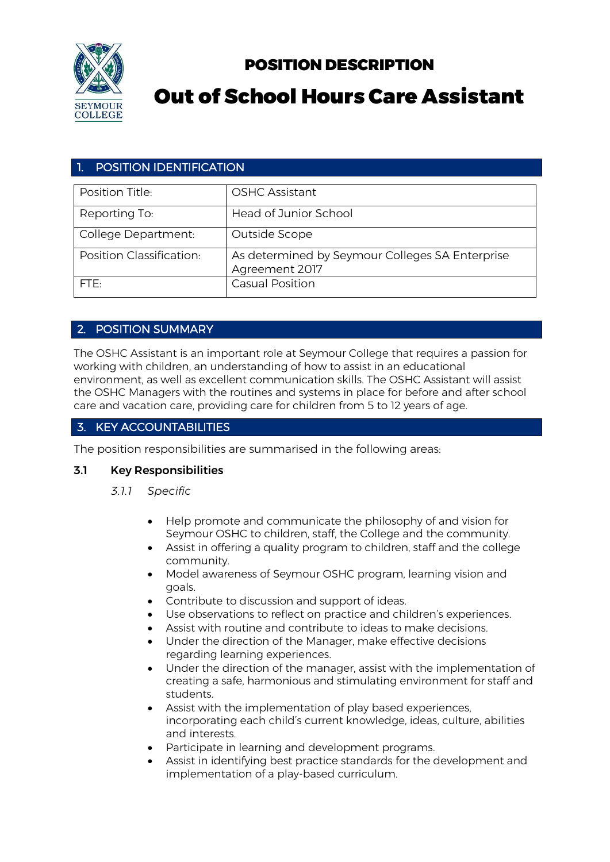

## POSITION DESCRIPTION

# Out of School Hours Care Assistant

## 1. POSITION IDENTIFICATION

| Position Title:          | <b>OSHC Assistant</b>                                             |
|--------------------------|-------------------------------------------------------------------|
| Reporting To:            | Head of Junior School                                             |
| College Department:      | Outside Scope                                                     |
| Position Classification: | As determined by Seymour Colleges SA Enterprise<br>Agreement 2017 |
| FTF:                     | <b>Casual Position</b>                                            |

## 2. POSITION SUMMARY

The OSHC Assistant is an important role at Seymour College that requires a passion for working with children, an understanding of how to assist in an educational environment, as well as excellent communication skills. The OSHC Assistant will assist the OSHC Managers with the routines and systems in place for before and after school care and vacation care, providing care for children from 5 to 12 years of age.

## 3. KEY ACCOUNTABILITIES

The position responsibilities are summarised in the following areas:

## 3.1 Key Responsibilities

- *3.1.1 Specific* 
	- Help promote and communicate the philosophy of and vision for Seymour OSHC to children, staff, the College and the community.
	- Assist in offering a quality program to children, staff and the college community.
	- Model awareness of Seymour OSHC program, learning vision and goals.
	- Contribute to discussion and support of ideas.
	- Use observations to reflect on practice and children's experiences.
	- Assist with routine and contribute to ideas to make decisions.
	- Under the direction of the Manager, make effective decisions regarding learning experiences.
	- Under the direction of the manager, assist with the implementation of creating a safe, harmonious and stimulating environment for staff and students.
	- Assist with the implementation of play based experiences, incorporating each child's current knowledge, ideas, culture, abilities and interests.
	- Participate in learning and development programs.
	- Assist in identifying best practice standards for the development and implementation of a play-based curriculum.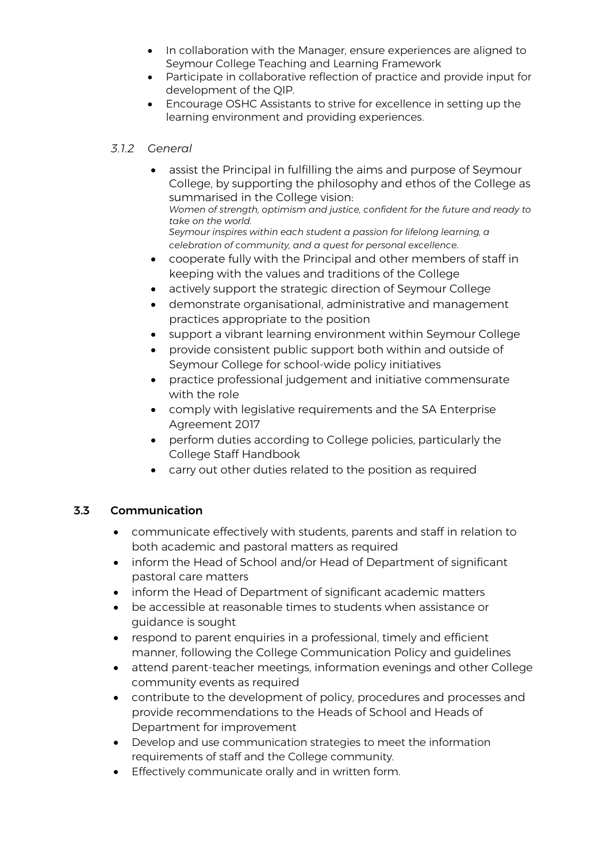- In collaboration with the Manager, ensure experiences are aligned to Seymour College Teaching and Learning Framework
- Participate in collaborative reflection of practice and provide input for development of the QIP.
- Encourage OSHC Assistants to strive for excellence in setting up the learning environment and providing experiences.

#### *3.1.2 General*

- assist the Principal in fulfilling the aims and purpose of Seymour College, by supporting the philosophy and ethos of the College as summarised in the College vision: *Women of strength, optimism and justice, confident for the future and ready to take on the world. Seymour inspires within each student a passion for lifelong learning, a celebration of community, and a quest for personal excellence.* • cooperate fully with the Principal and other members of staff in
- keeping with the values and traditions of the College
- actively support the strategic direction of Seymour College
- demonstrate organisational, administrative and management practices appropriate to the position
- support a vibrant learning environment within Seymour College
- provide consistent public support both within and outside of Seymour College for school-wide policy initiatives
- practice professional judgement and initiative commensurate with the role
- comply with legislative requirements and the SA Enterprise Agreement 2017
- perform duties according to College policies, particularly the College Staff Handbook
- carry out other duties related to the position as required

## 3.3 Communication

- communicate effectively with students, parents and staff in relation to both academic and pastoral matters as required
- inform the Head of School and/or Head of Department of significant pastoral care matters
- inform the Head of Department of significant academic matters
- be accessible at reasonable times to students when assistance or guidance is sought
- respond to parent enquiries in a professional, timely and efficient manner, following the College Communication Policy and guidelines
- attend parent-teacher meetings, information evenings and other College community events as required
- contribute to the development of policy, procedures and processes and provide recommendations to the Heads of School and Heads of Department for improvement
- Develop and use communication strategies to meet the information requirements of staff and the College community.
- Effectively communicate orally and in written form.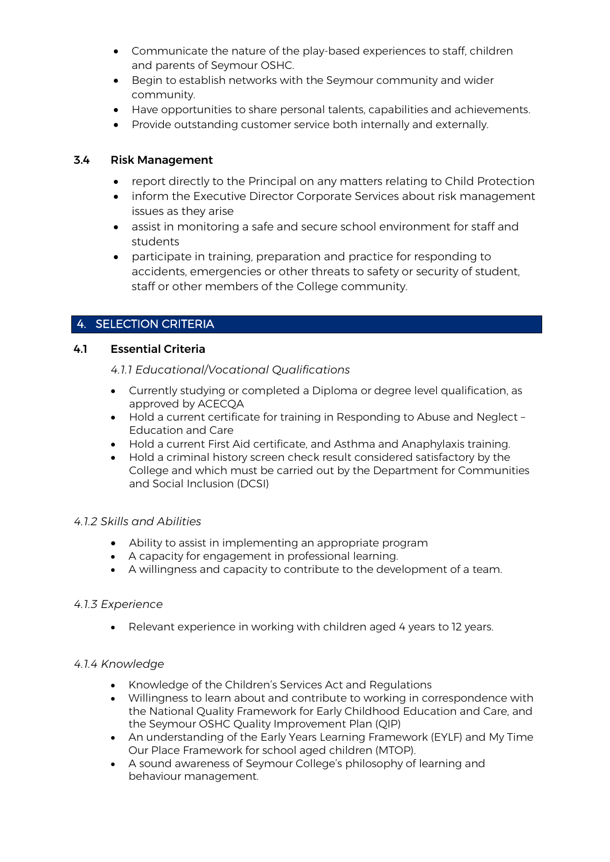- Communicate the nature of the play-based experiences to staff, children and parents of Seymour OSHC.
- Begin to establish networks with the Seymour community and wider community.
- Have opportunities to share personal talents, capabilities and achievements.
- Provide outstanding customer service both internally and externally.

## 3.4 Risk Management

- report directly to the Principal on any matters relating to Child Protection
- inform the Executive Director Corporate Services about risk management issues as they arise
- assist in monitoring a safe and secure school environment for staff and students
- participate in training, preparation and practice for responding to accidents, emergencies or other threats to safety or security of student, staff or other members of the College community.

## 4. SELECTION CRITERIA

## 4.1 Essential Criteria

*4.1.1 Educational/Vocational Qualifications* 

- Currently studying or completed a Diploma or degree level qualification, as approved by ACECQA
- Hold a current certificate for training in Responding to Abuse and Neglect Education and Care
- Hold a current First Aid certificate, and Asthma and Anaphylaxis training.
- Hold a criminal history screen check result considered satisfactory by the College and which must be carried out by the Department for Communities and Social Inclusion (DCSI)

## *4.1.2 Skills and Abilities*

- Ability to assist in implementing an appropriate program
- A capacity for engagement in professional learning.
- A willingness and capacity to contribute to the development of a team.

## *4.1.3 Experience*

• Relevant experience in working with children aged 4 years to 12 years.

## *4.1.4 Knowledge*

- Knowledge of the Children's Services Act and Regulations
- Willingness to learn about and contribute to working in correspondence with the National Quality Framework for Early Childhood Education and Care, and the Seymour OSHC Quality Improvement Plan (QIP)
- An understanding of the Early Years Learning Framework (EYLF) and My Time Our Place Framework for school aged children (MTOP).
- A sound awareness of Seymour College's philosophy of learning and behaviour management.